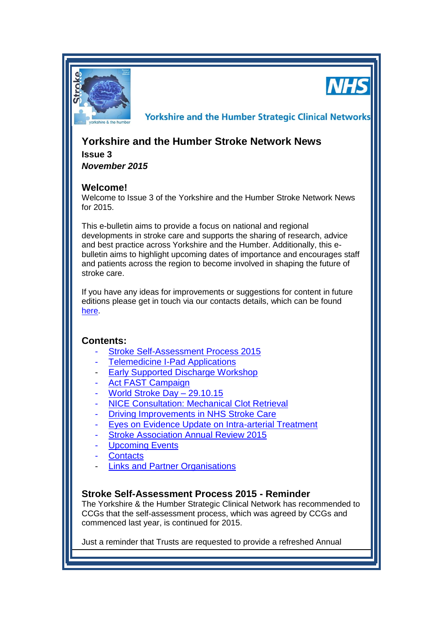

**NHS** 

**Yorkshire and the Humber Strategic Clinical Networks** 

# **Yorkshire and the Humber Stroke Network News**

**Issue 3** *November 2015*

# **Welcome!**

Welcome to Issue 3 of the Yorkshire and the Humber Stroke Network News for 2015.

This e-bulletin aims to provide a focus on national and regional developments in stroke care and supports the sharing of research, advice and best practice across Yorkshire and the Humber. Additionally, this ebulletin aims to highlight upcoming dates of importance and encourages staff and patients across the region to become involved in shaping the future of stroke care.

If you have any ideas for improvements or suggestions for content in future editions please get in touch via our contacts details, which can be found [here.](#page-3-0)

# **Contents:**

- [Stroke Self-Assessment Process 2015](#page-0-0)
- **[Telemedicine I-Pad Applications](#page-1-0)**
- [Early Supported Discharge Workshop](#page-3-1)
- [Act FAST Campaign](#page-0-0)
- World Stroke Day 29.10.15
- [NICE Consultation: Mechanical Clot Retrieval](#page-2-0)
- [Driving Improvements in NHS Stroke Care](#page-2-1)
- [Eyes on Evidence Update on Intra-arterial Treatment](#page-2-2)
- **[Stroke Association Annual Review 2015](#page-2-3)**
- **[Upcoming Events](#page-3-2)**
- **[Contacts](#page-3-0)**
- [Links and Partner Organisations](#page-3-3)

# <span id="page-0-0"></span>**Stroke Self-Assessment Process 2015 - Reminder**

The Yorkshire & the Humber Strategic Clinical Network has recommended to CCGs that the self-assessment process, which was agreed by CCGs and commenced last year, is continued for 2015.

Just a reminder that Trusts are requested to provide a refreshed Annual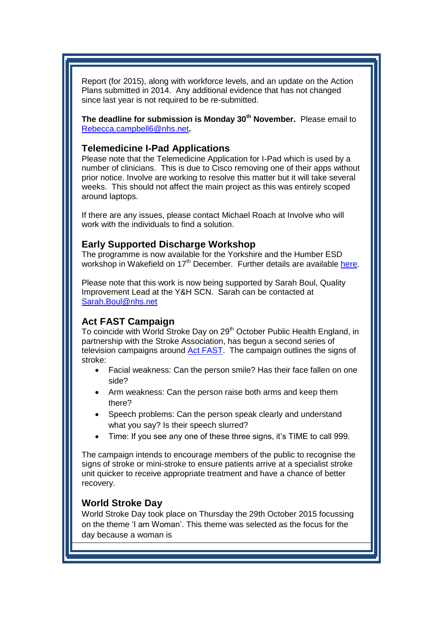Report (for 2015), along with workforce levels, and an update on the Action Plans submitted in 2014. Any additional evidence that has not changed since last year is not required to be re-submitted.

**The deadline for submission is Monday 30th November.** Please email to [Rebecca.campbell6@nhs.net](mailto:Rebecca.campbell6@nhs.net)**.** 

#### <span id="page-1-0"></span>**Telemedicine I-Pad Applications**

Please note that the Telemedicine Application for I-Pad which is used by a number of clinicians. This is due to Cisco removing one of their apps without prior notice. Involve are working to resolve this matter but it will take several weeks. This should not affect the main project as this was entirely scoped around laptops.

If there are any issues, please contact Michael Roach at Involve who will work with the individuals to find a solution.

### **Early Supported Discharge Workshop**

The programme is now available for the Yorkshire and the Humber ESD workshop in Wakefield on  $17<sup>th</sup>$  December. Further details are available [here.](#page-3-1)

Please note that this work is now being supported by Sarah Boul, Quality Improvement Lead at the Y&H SCN. Sarah can be contacted at [Sarah.Boul@nhs.net](mailto:Sarah.Boul@nhs.net) 

## **Act FAST Campaign**

To coincide with World Stroke Day on 29<sup>th</sup> October Public Health England, in partnership with the Stroke Association, has begun a second series of television campaigns around [Act FAST.](https://www.stroke.org.uk/take-action/recognise-signs-stroke) The campaign outlines the signs of stroke:

- Facial weakness: Can the person smile? Has their face fallen on one side?
- Arm weakness: Can the person raise both arms and keep them there?
- Speech problems: Can the person speak clearly and understand what you say? Is their speech slurred?
- Time: If you see any one of these three signs, it's TIME to call 999.

The campaign intends to encourage members of the public to recognise the signs of stroke or mini-stroke to ensure patients arrive at a specialist stroke unit quicker to receive appropriate treatment and have a chance of better recovery.

#### <span id="page-1-1"></span>**World Stroke Day**

World Stroke Day took place on Thursday the 29th October 2015 focussing on the theme 'I am Woman'. This theme was selected as the focus for the day because a woman is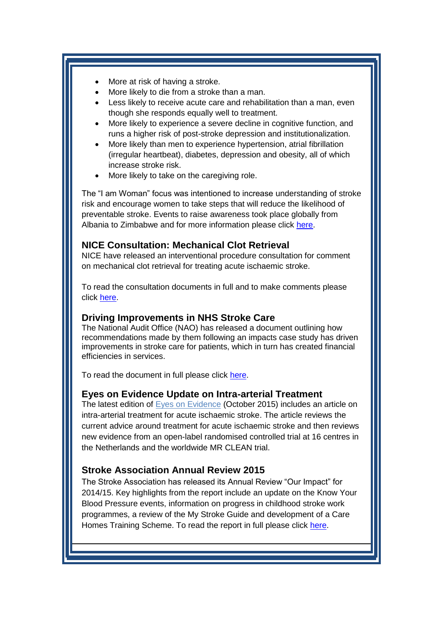- More at risk of having a stroke.
- More likely to die from a stroke than a man.
- Less likely to receive acute care and rehabilitation than a man, even though she responds equally well to treatment.
- More likely to experience a severe decline in cognitive function, and runs a higher risk of post-stroke depression and institutionalization.
- More likely than men to experience hypertension, atrial fibrillation (irregular heartbeat), diabetes, depression and obesity, all of which increase stroke risk.
- More likely to take on the caregiving role.

The "I am Woman" focus was intentioned to increase understanding of stroke risk and encourage women to take steps that will reduce the likelihood of preventable stroke. Events to raise awareness took place globally from Albania to Zimbabwe and for more information please click [here.](http://www.worldstrokecampaign.org/get-involved/world-stroke-day-2015/wsd-2015-whats-on.html)

### <span id="page-2-0"></span>**NICE Consultation: Mechanical Clot Retrieval**

NICE have released an interventional procedure consultation for comment on mechanical clot retrieval for treating acute ischaemic stroke.

To read the consultation documents in full and to make comments please click [here.](http://www.nice.org.uk/guidance/indevelopment/gid-ip2807/consultation/html-content)

#### <span id="page-2-1"></span>**Driving Improvements in NHS Stroke Care**

The National Audit Office (NAO) has released a document outlining how recommendations made by them following an impacts case study has driven improvements in stroke care for patients, which in turn has created financial efficiencies in services.

To read the document in full please click [here.](https://www.nao.org.uk/report/confirmed-impacts-driving-improvements-in-nhs-stroke-care/)

#### <span id="page-2-2"></span>**Eyes on Evidence Update on Intra-arterial Treatment**

The latest edition of [Eyes on Evidence](http://www.nice.org.uk/Media/Default/newsletter/eyes-on-evidence-october-2015.pdf) (October 2015) includes an article on intra-arterial treatment for acute ischaemic stroke. The article reviews the current advice around treatment for acute ischaemic stroke and then reviews new evidence from an open-label randomised controlled trial at 16 centres in the Netherlands and the worldwide MR CLEAN trial.

### <span id="page-2-3"></span>**Stroke Association Annual Review 2015**

The Stroke Association has released its Annual Review "Our Impact" for 2014/15. Key highlights from the report include an update on the Know Your Blood Pressure events, information on progress in childhood stroke work programmes, a review of the My Stroke Guide and development of a Care Homes Training Scheme. To read the report in full please click [here.](https://www.stroke.org.uk/sites/default/files/sa_annual_review_2015.pdf)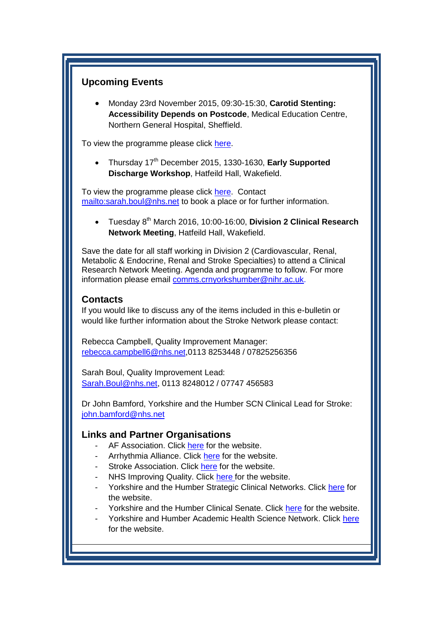# <span id="page-3-2"></span>**Upcoming Events**

 Monday 23rd November 2015, 09:30-15:30, **Carotid Stenting: Accessibility Depends on Postcode**, Medical Education Centre, Northern General Hospital, Sheffield.

To view the programme please click [here.](http://www.yhscn.nhs.uk/media/PDFs/cvd/Stroke/Events/2015_11_23_sth_cas_and_stroke_meeting.pdf)

<span id="page-3-1"></span>• Thursday 17<sup>th</sup> December 2015, 1330-1630, Early Supported **Discharge Workshop**, Hatfeild Hall, Wakefield.

To view the programme please click [here.](http://www.yhscn.nhs.uk/media/PDFs/cvd/Stroke/Events/2015_12_17_Agenda_ESD_Workshop) Contact <mailto:sarah.boul@nhs.net> to book a place or for further information.

• Tuesday 8<sup>th</sup> March 2016, 10:00-16:00, **Division 2 Clinical Research Network Meeting**, Hatfeild Hall, Wakefield.

Save the date for all staff working in Division 2 (Cardiovascular, Renal, Metabolic & Endocrine, Renal and Stroke Specialties) to attend a Clinical Research Network Meeting. Agenda and programme to follow. For more information please email [comms.crnyorkshumber@nihr.ac.uk.](mailto:comms.crnyorkshumber@nihr.ac.uk)

### <span id="page-3-0"></span>**Contacts**

If you would like to discuss any of the items included in this e-bulletin or would like further information about the Stroke Network please contact:

Rebecca Campbell, Quality Improvement Manager: [rebecca.campbell6@nhs.net,](mailto:rebecca.campbell6@nhs.net)0113 8253448 / 07825256356

Sarah Boul, Quality Improvement Lead: [Sarah.Boul@nhs.net,](mailto:Sarah.Boul@nhs.net) 0113 8248012 / 07747 456583

Dr John Bamford, Yorkshire and the Humber SCN Clinical Lead for Stroke: [john.bamford@nhs.net](mailto:john.bamford@nhs.net)

### <span id="page-3-3"></span>**Links and Partner Organisations**

- AF Association. Click [here](http://www.atrialfibrillation.org.uk/) for the website.
- Arrhythmia Alliance. Click [here](http://www.heartrhythmcharity.org.uk/www/76/0/Atrial_fibrillation/) for the website.
- Stroke Association. Click [here](https://www.stroke.org.uk/) for the website.
- NHS Improving Quality. Click [here f](http://www.nhsiq.nhs.uk/)or the website.
- Yorkshire and the Humber Strategic Clinical Networks. Click [here](http://www.yhscn.nhs.uk/index.php) for the website.
- Yorkshire and the Humber Clinical Senate. Click [here](http://www.yhsenate.nhs.uk/index.php) for the website.
- Yorkshire and Humber Academic Health Science Network. Click [here](http://www.yhahsn.org.uk/) for the website.